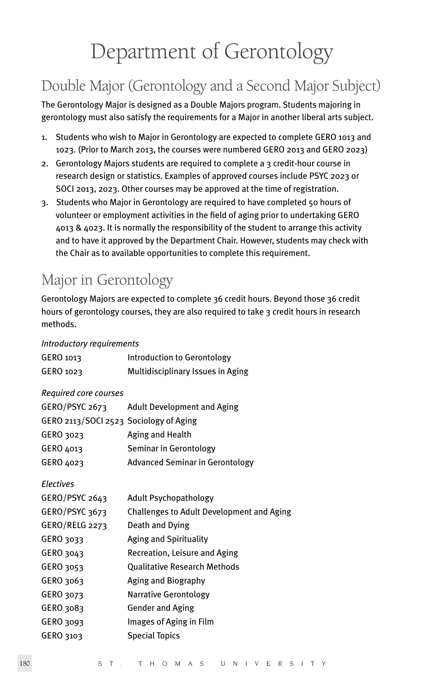# Department of Gerontology

# Double Major (Gerontology and a Second Major Subject)

The Gerontology Major is designed as a Double Majors program. Students majoring in gerontology must also satisfy the requirements for a Major in another liberal arts subject.

- 1. Students who wish to Major in Gerontology are expected to complete GERO 1013 and 1023. (Prior to March 2013, the courses were numbered GERO 2013 and GERO 2023)
- 2. Gerontology Majors students are required to complete a 3 credit-hour course in research design or statistics. Examples of approved courses include PSYC 2023 or SOCI 2013, 2023. Other courses may be approved at the time of registration.
- 3. Students who Major in Gerontology are required to have completed 50 hours of volunteer or employment activities in the field of aging prior to undertaking GERO 4013 & 4023. It is normally the responsibility of the student to arrange this activity and to have it approved by the Department Chair. However, students may check with the Chair as to available opportunities to complete this requirement.

# Major in Gerontology

Gerontology Majors are expected to complete 36 credit hours. Beyond those 36 credit hours of gerontology courses, they are also required to take 3 credit hours in research methods.

# *Introductory requirements*

| GERO 1013                              | Introduction to Gerontology                |
|----------------------------------------|--------------------------------------------|
| GERO 1023                              | Multidisciplinary Issues in Aging          |
| Required core courses                  |                                            |
|                                        | GERO/PSYC 2673 Adult Development and Aging |
| GERO 2113/SOCI 2523 Sociology of Aging |                                            |
| GERO 3023                              | Aging and Health                           |
| GERO 4013                              | Seminar in Gerontology                     |
| GERO 4023                              | <b>Advanced Seminar in Gerontology</b>     |
| <b>Electives</b>                       |                                            |
| GERO/PSYC 2643                         | Adult Psychopathology                      |
| GERO/PSYC 3673                         | Challenges to Adult Development and Aging  |
| GERO/RELG 2273                         | Death and Dying                            |
| GERO 3033                              | Aging and Spirituality                     |
| GERO 3043                              | Recreation, Leisure and Aging              |
| GERO 3053                              | <b>Qualitative Research Methods</b>        |
| GERO 3063                              | Aging and Biography                        |
| GERO 3073                              | <b>Narrative Gerontology</b>               |
| GERO 3083                              | <b>Gender and Aging</b>                    |
| GERO 3093                              | Images of Aging in Film                    |
| GERO 3103                              | <b>Special Topics</b>                      |
|                                        |                                            |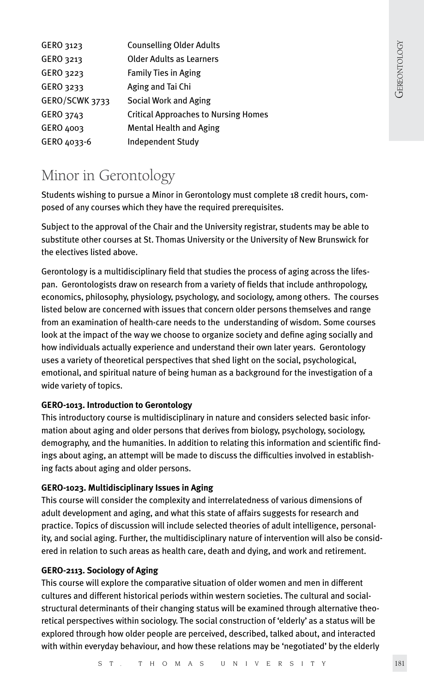| <b>Counselling Older Adults</b>             |
|---------------------------------------------|
| Older Adults as Learners                    |
| <b>Family Ties in Aging</b>                 |
| Aging and Tai Chi                           |
| Social Work and Aging                       |
| <b>Critical Approaches to Nursing Homes</b> |
| <b>Mental Health and Aging</b>              |
| <b>Independent Study</b>                    |
|                                             |

# Minor in Gerontology

Students wishing to pursue a Minor in Gerontology must complete 18 credit hours, composed of any courses which they have the required prerequisites.

Subject to the approval of the Chair and the University registrar, students may be able to substitute other courses at St. Thomas University or the University of New Brunswick for the electives listed above.

Gerontology is a multidisciplinary field that studies the process of aging across the lifespan. Gerontologists draw on research from a variety of fields that include anthropology, economics, philosophy, physiology, psychology, and sociology, among others. The courses listed below are concerned with issues that concern older persons themselves and range from an examination of health-care needs to the understanding of wisdom. Some courses look at the impact of the way we choose to organize society and define aging socially and how individuals actually experience and understand their own later years. Gerontology uses a variety of theoretical perspectives that shed light on the social, psychological, emotional, and spiritual nature of being human as a background for the investigation of a wide variety of topics.

# **GERO-1013. Introduction to Gerontology**

This introductory course is multidisciplinary in nature and considers selected basic information about aging and older persons that derives from biology, psychology, sociology, demography, and the humanities. In addition to relating this information and scientific findings about aging, an attempt will be made to discuss the difficulties involved in establishing facts about aging and older persons.

# **GERO-1023. Multidisciplinary Issues in Aging**

This course will consider the complexity and interrelatedness of various dimensions of adult development and aging, and what this state of affairs suggests for research and practice. Topics of discussion will include selected theories of adult intelligence, personality, and social aging. Further, the multidisciplinary nature of intervention will also be considered in relation to such areas as health care, death and dying, and work and retirement.

# **GERO-2113. Sociology of Aging**

This course will explore the comparative situation of older women and men in different cultures and different historical periods within western societies. The cultural and socialstructural determinants of their changing status will be examined through alternative theoretical perspectives within sociology. The social construction of 'elderly' as a status will be explored through how older people are perceived, described, talked about, and interacted with within everyday behaviour, and how these relations may be 'negotiated' by the elderly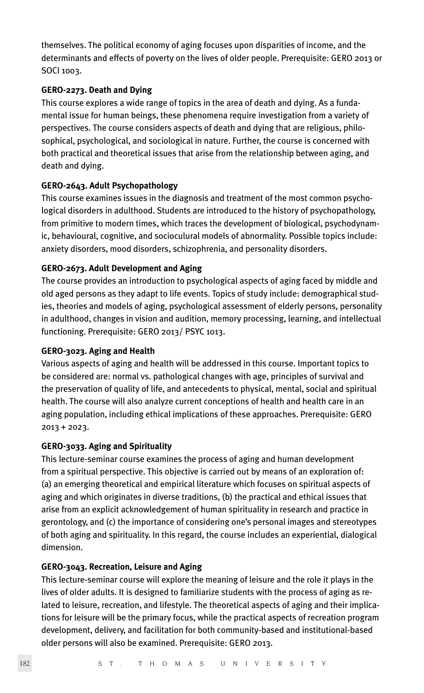themselves. The political economy of aging focuses upon disparities of income, and the determinants and effects of poverty on the lives of older people. Prerequisite: GERO 2013 or SOCI 1003.

#### **GERO-2273. Death and Dying**

This course explores a wide range of topics in the area of death and dying. As a fundamental issue for human beings, these phenomena require investigation from a variety of perspectives. The course considers aspects of death and dying that are religious, philosophical, psychological, and sociological in nature. Further, the course is concerned with both practical and theoretical issues that arise from the relationship between aging, and death and dying.

#### **GERO-2643. Adult Psychopathology**

This course examines issues in the diagnosis and treatment of the most common psychological disorders in adulthood. Students are introduced to the history of psychopathology, from primitive to modern times, which traces the development of biological, psychodynamic, behavioural, cognitive, and socioculural models of abnormality. Possible topics include: anxiety disorders, mood disorders, schizophrenia, and personality disorders.

#### **GERO-2673. Adult Development and Aging**

The course provides an introduction to psychological aspects of aging faced by middle and old aged persons as they adapt to life events. Topics of study include: demographical studies, theories and models of aging, psychological assessment of elderly persons, personality in adulthood, changes in vision and audition, memory processing, learning, and intellectual functioning. Prerequisite: GERO 2013/ PSYC 1013.

#### **GERO-3023. Aging and Health**

Various aspects of aging and health will be addressed in this course. Important topics to be considered are: normal vs. pathological changes with age, principles of survival and the preservation of quality of life, and antecedents to physical, mental, social and spiritual health. The course will also analyze current conceptions of health and health care in an aging population, including ethical implications of these approaches. Prerequisite: GERO 2013 + 2023.

# **GERO-3033. Aging and Spirituality**

This lecture-seminar course examines the process of aging and human development from a spiritual perspective. This objective is carried out by means of an exploration of: (a) an emerging theoretical and empirical literature which focuses on spiritual aspects of aging and which originates in diverse traditions, (b) the practical and ethical issues that arise from an explicit acknowledgement of human spirituality in research and practice in gerontology, and (c) the importance of considering one's personal images and stereotypes of both aging and spirituality. In this regard, the course includes an experiential, dialogical dimension.

# **GERO-3043. Recreation, Leisure and Aging**

This lecture-seminar course will explore the meaning of leisure and the role it plays in the lives of older adults. It is designed to familiarize students with the process of aging as related to leisure, recreation, and lifestyle. The theoretical aspects of aging and their implications for leisure will be the primary focus, while the practical aspects of recreation program development, delivery, and facilitation for both community-based and institutional-based older persons will also be examined. Prerequisite: GERO 2013.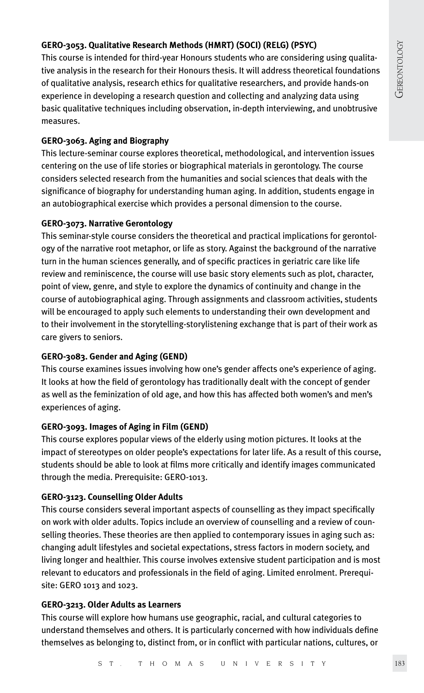# **GERO-3053. Qualitative Research Methods (HMRT) (SOCI) (RELG) (PSYC)**

This course is intended for third-year Honours students who are considering using qualitative analysis in the research for their Honours thesis. It will address theoretical foundations of qualitative analysis, research ethics for qualitative researchers, and provide hands-on experience in developing a research question and collecting and analyzing data using basic qualitative techniques including observation, in-depth interviewing, and unobtrusive measures.

#### **GERO-3063. Aging and Biography**

This lecture-seminar course explores theoretical, methodological, and intervention issues centering on the use of life stories or biographical materials in gerontology. The course considers selected research from the humanities and social sciences that deals with the significance of biography for understanding human aging. In addition, students engage in an autobiographical exercise which provides a personal dimension to the course.

#### **GERO-3073. Narrative Gerontology**

This seminar-style course considers the theoretical and practical implications for gerontology of the narrative root metaphor, or life as story. Against the background of the narrative turn in the human sciences generally, and of specific practices in geriatric care like life review and reminiscence, the course will use basic story elements such as plot, character, point of view, genre, and style to explore the dynamics of continuity and change in the course of autobiographical aging. Through assignments and classroom activities, students will be encouraged to apply such elements to understanding their own development and to their involvement in the storytelling-storylistening exchange that is part of their work as care givers to seniors.

# **GERO-3083. Gender and Aging (GEND)**

This course examines issues involving how one's gender affects one's experience of aging. It looks at how the field of gerontology has traditionally dealt with the concept of gender as well as the feminization of old age, and how this has affected both women's and men's experiences of aging.

#### **GERO-3093. Images of Aging in Film (GEND)**

This course explores popular views of the elderly using motion pictures. It looks at the impact of stereotypes on older people's expectations for later life. As a result of this course, students should be able to look at films more critically and identify images communicated through the media. Prerequisite: GERO-1013.

# **GERO-3123. Counselling Older Adults**

This course considers several important aspects of counselling as they impact specifically on work with older adults. Topics include an overview of counselling and a review of counselling theories. These theories are then applied to contemporary issues in aging such as: changing adult lifestyles and societal expectations, stress factors in modern society, and living longer and healthier. This course involves extensive student participation and is most relevant to educators and professionals in the field of aging. Limited enrolment. Prerequisite: GERO 1013 and 1023.

#### **GERO-3213. Older Adults as Learners**

This course will explore how humans use geographic, racial, and cultural categories to understand themselves and others. It is particularly concerned with how individuals define themselves as belonging to, distinct from, or in conflict with particular nations, cultures, or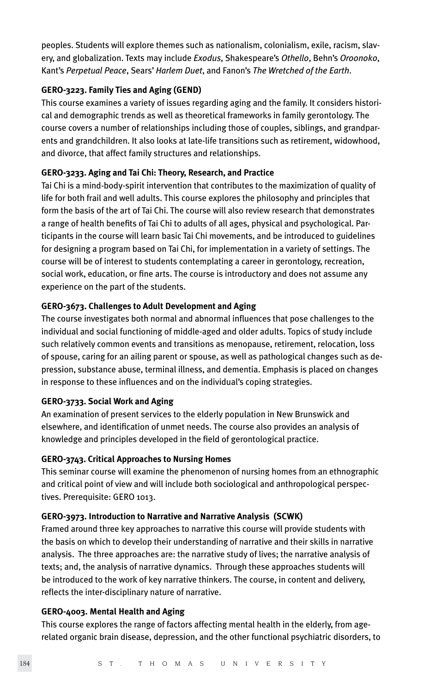peoples. Students will explore themes such as nationalism, colonialism, exile, racism, slavery, and globalization. Texts may include *Exodus*, Shakespeare's *Othello*, Behn's *Oroonoko*, Kant's *Perpetual Peace*, Sears' *Harlem Duet*, and Fanon's *The Wretched of the Earth*.

# **GERO-3223. Family Ties and Aging (GEND)**

This course examines a variety of issues regarding aging and the family. It considers historical and demographic trends as well as theoretical frameworks in family gerontology. The course covers a number of relationships including those of couples, siblings, and grandparents and grandchildren. It also looks at late-life transitions such as retirement, widowhood, and divorce, that affect family structures and relationships.

#### **GERO-3233. Aging and Tai Chi: Theory, Research, and Practice**

Tai Chi is a mind-body-spirit intervention that contributes to the maximization of quality of life for both frail and well adults. This course explores the philosophy and principles that form the basis of the art of Tai Chi. The course will also review research that demonstrates a range of health benefits of Tai Chi to adults of all ages, physical and psychological. Participants in the course will learn basic Tai Chi movements, and be introduced to guidelines for designing a program based on Tai Chi, for implementation in a variety of settings. The course will be of interest to students contemplating a career in gerontology, recreation, social work, education, or fine arts. The course is introductory and does not assume any experience on the part of the students.

#### **GERO-3673. Challenges to Adult Development and Aging**

The course investigates both normal and abnormal influences that pose challenges to the individual and social functioning of middle-aged and older adults. Topics of study include such relatively common events and transitions as menopause, retirement, relocation, loss of spouse, caring for an ailing parent or spouse, as well as pathological changes such as depression, substance abuse, terminal illness, and dementia. Emphasis is placed on changes in response to these influences and on the individual's coping strategies.

# **GERO-3733. Social Work and Aging**

An examination of present services to the elderly population in New Brunswick and elsewhere, and identification of unmet needs. The course also provides an analysis of knowledge and principles developed in the field of gerontological practice.

# **GERO-3743. Critical Approaches to Nursing Homes**

This seminar course will examine the phenomenon of nursing homes from an ethnographic and critical point of view and will include both sociological and anthropological perspectives. Prerequisite: GERO 1013.

#### **GERO-3973. Introduction to Narrative and Narrative Analysis (SCWK)**

Framed around three key approaches to narrative this course will provide students with the basis on which to develop their understanding of narrative and their skills in narrative analysis. The three approaches are: the narrative study of lives; the narrative analysis of texts; and, the analysis of narrative dynamics. Through these approaches students will be introduced to the work of key narrative thinkers. The course, in content and delivery, reflects the inter-disciplinary nature of narrative.

#### **GERO-4003. Mental Health and Aging**

This course explores the range of factors affecting mental health in the elderly, from agerelated organic brain disease, depression, and the other functional psychiatric disorders, to